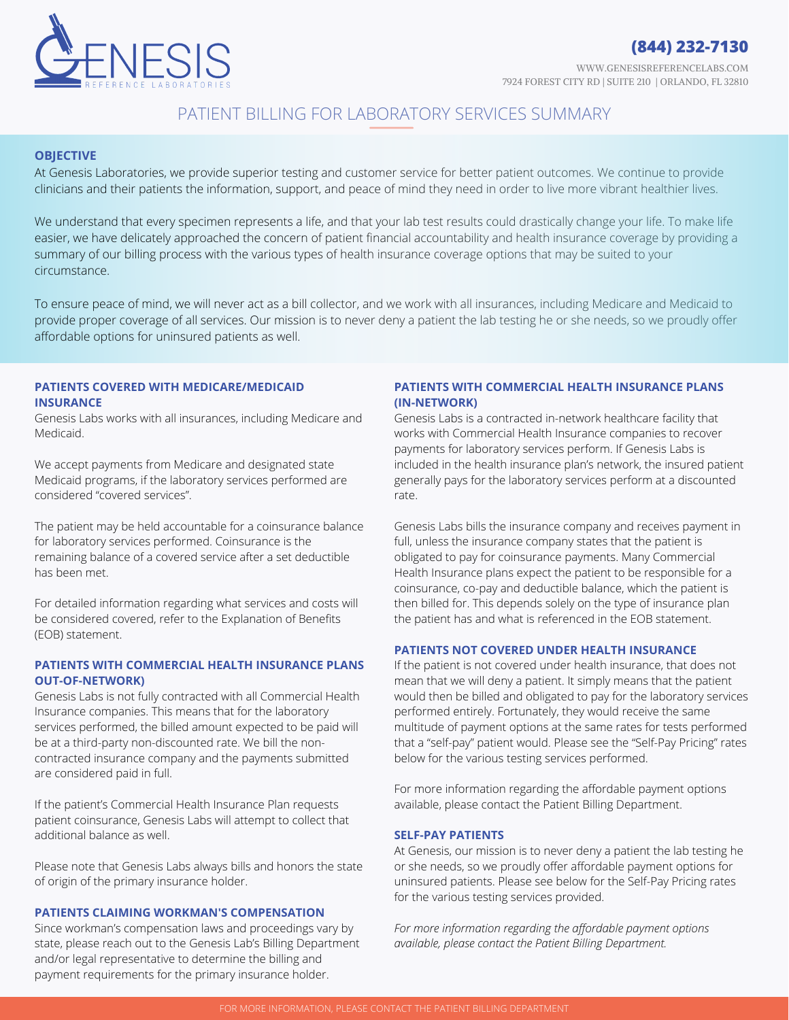

# PATIENT BILLING FOR LABORATORY SERVICES SUMMARY

# **OBJECTIVE**

At Genesis Laboratories, we provide superior testing and customer service for better patient outcomes. We continue to provide clinicians and their patients the information, support, and peace of mind they need in order to live more vibrant healthier lives.

We understand that every specimen represents a life, and that your lab test results could drastically change your life. To make life easier, we have delicately approached the concern of patient financial accountability and health insurance coverage by providing a summary of our billing process with the various types of health insurance coverage options that may be suited to your circumstance.

To ensure peace of mind, we will never act as a bill collector, and we work with all insurances, including Medicare and Medicaid to provide proper coverage of all services. Our mission is to never deny a patient the lab testing he or she needs, so we proudly offer affordable options for uninsured patients as well.

#### **PATIENTS COVERED WITH MEDICARE/MEDICAID INSURANCE**

Genesis Labs works with all insurances, including Medicare and Medicaid.

We accept payments from Medicare and designated state Medicaid programs, if the laboratory services performed are considered "covered services".

The patient may be held accountable for a coinsurance balance for laboratory services performed. Coinsurance is the remaining balance of a covered service after a set deductible has been met.

For detailed information regarding what services and costs will be considered covered, refer to the Explanation of Benefits (EOB) statement.

# **PATIENTS WITH COMMERCIAL HEALTH INSURANCE PLANS OUT-OF-NETWORK)**

Genesis Labs is not fully contracted with all Commercial Health Insurance companies. This means that for the laboratory services performed, the billed amount expected to be paid will be at a third-party non-discounted rate. We bill the noncontracted insurance company and the payments submitted are considered paid in full.

If the patient's Commercial Health Insurance Plan requests patient coinsurance, Genesis Labs will attempt to collect that additional balance as well.

Please note that Genesis Labs always bills and honors the state of origin of the primary insurance holder.

# **PATIENTS CLAIMING WORKMAN'S COMPENSATION**

Since workman's compensation laws and proceedings vary by state, please reach out to the Genesis Lab's Billing Department and/or legal representative to determine the billing and payment requirements for the primary insurance holder.

# **PATIENTS WITH COMMERCIAL HEALTH INSURANCE PLANS (IN-NETWORK)**

Genesis Labs is a contracted in-network healthcare facility that works with Commercial Health Insurance companies to recover payments for laboratory services perform. If Genesis Labs is included in the health insurance plan's network, the insured patient generally pays for the laboratory services perform at a discounted rate.

Genesis Labs bills the insurance company and receives payment in full, unless the insurance company states that the patient is obligated to pay for coinsurance payments. Many Commercial Health Insurance plans expect the patient to be responsible for a coinsurance, co-pay and deductible balance, which the patient is then billed for. This depends solely on the type of insurance plan the patient has and what is referenced in the EOB statement.

# **PATIENTS NOT COVERED UNDER HEALTH INSURANCE**

If the patient is not covered under health insurance, that does not mean that we will deny a patient. It simply means that the patient would then be billed and obligated to pay for the laboratory services performed entirely. Fortunately, they would receive the same multitude of payment options at the same rates for tests performed that a "self-pay" patient would. Please see the "Self-Pay Pricing" rates below for the various testing services performed.

For more information regarding the affordable payment options available, please contact the Patient Billing Department.

# **SELF-PAY PATIENTS**

At Genesis, our mission is to never deny a patient the lab testing he or she needs, so we proudly offer affordable payment options for uninsured patients. Please see below for the Self-Pay Pricing rates for the various testing services provided.

*For more information regarding the affordable payment options available, please contact the Patient Billing Department.*